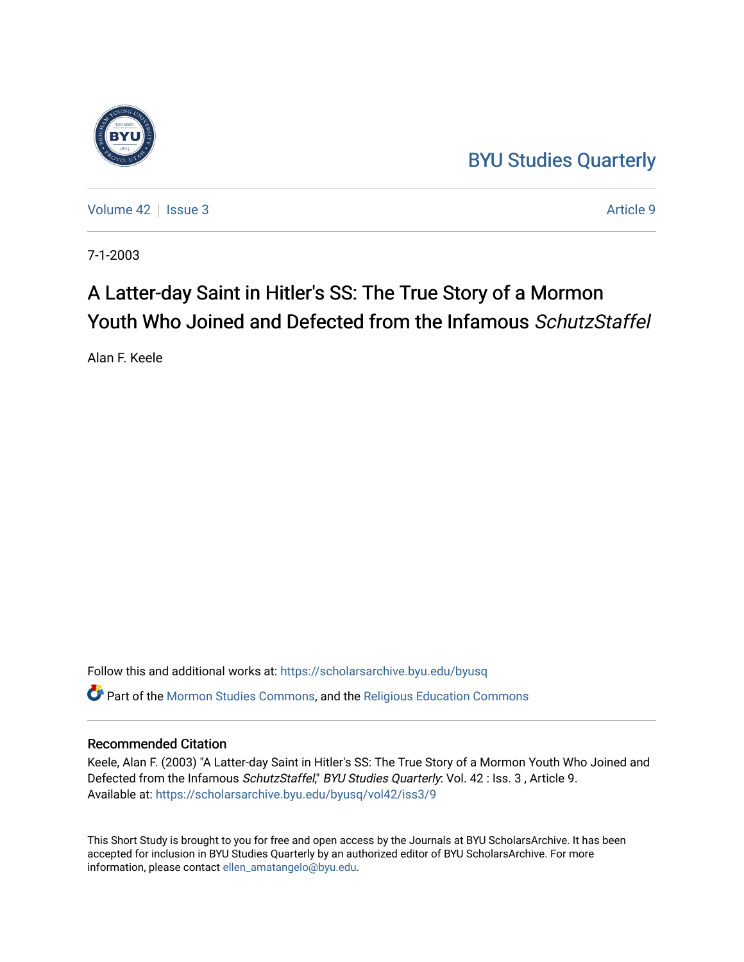## [BYU Studies Quarterly](https://scholarsarchive.byu.edu/byusq)

[Volume 42](https://scholarsarchive.byu.edu/byusq/vol42) | [Issue 3](https://scholarsarchive.byu.edu/byusq/vol42/iss3) Article 9

7-1-2003

# A Latter-day Saint in Hitler's SS: The True Story of a Mormon Youth Who Joined and Defected from the Infamous SchutzStaffel

Alan F. Keele

Follow this and additional works at: [https://scholarsarchive.byu.edu/byusq](https://scholarsarchive.byu.edu/byusq?utm_source=scholarsarchive.byu.edu%2Fbyusq%2Fvol42%2Fiss3%2F9&utm_medium=PDF&utm_campaign=PDFCoverPages)  Part of the [Mormon Studies Commons](http://network.bepress.com/hgg/discipline/1360?utm_source=scholarsarchive.byu.edu%2Fbyusq%2Fvol42%2Fiss3%2F9&utm_medium=PDF&utm_campaign=PDFCoverPages), and the [Religious Education Commons](http://network.bepress.com/hgg/discipline/1414?utm_source=scholarsarchive.byu.edu%2Fbyusq%2Fvol42%2Fiss3%2F9&utm_medium=PDF&utm_campaign=PDFCoverPages) 

### Recommended Citation

Keele, Alan F. (2003) "A Latter-day Saint in Hitler's SS: The True Story of a Mormon Youth Who Joined and Defected from the Infamous SchutzStaffel," BYU Studies Quarterly: Vol. 42 : Iss. 3, Article 9. Available at: [https://scholarsarchive.byu.edu/byusq/vol42/iss3/9](https://scholarsarchive.byu.edu/byusq/vol42/iss3/9?utm_source=scholarsarchive.byu.edu%2Fbyusq%2Fvol42%2Fiss3%2F9&utm_medium=PDF&utm_campaign=PDFCoverPages)

This Short Study is brought to you for free and open access by the Journals at BYU ScholarsArchive. It has been accepted for inclusion in BYU Studies Quarterly by an authorized editor of BYU ScholarsArchive. For more information, please contact [ellen\\_amatangelo@byu.edu.](mailto:ellen_amatangelo@byu.edu)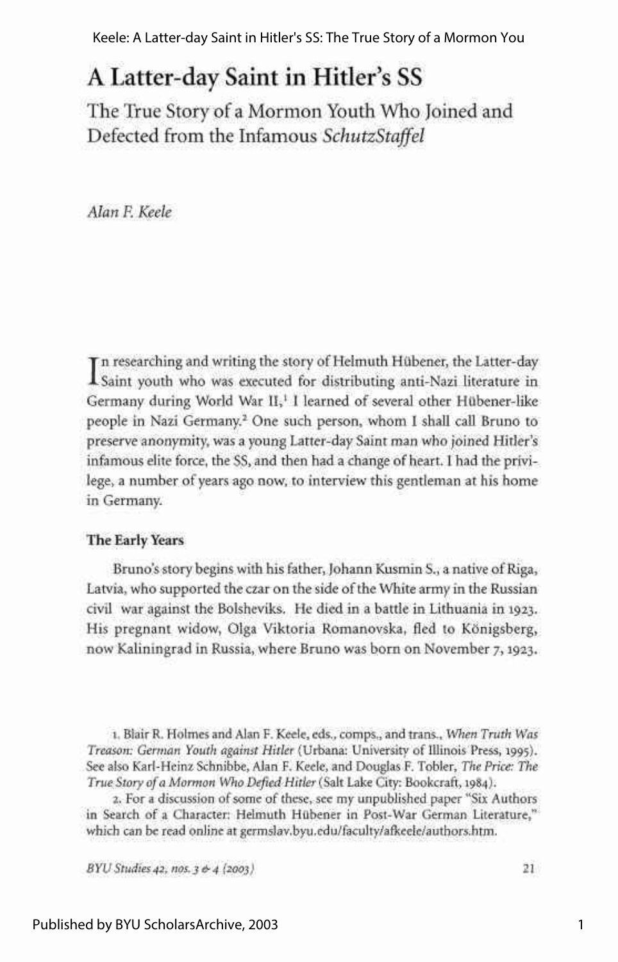Keele: A Latter-day Saint in Hitler's SS: The True Story of a Mormon You

## A Latter-day Saint in Hitler's SS

The True Story of a Mormon Youth Who Joined and Defected from the Infamous *SchutzStaffel* 

*Alan F. Keele* 

In researching and writing the story of Helmuth Hübener, the Latter-day<br>Isaint youth who was executed for distributing anti-Nazi literature in n researching and writing the story of Helmuth Hubener, the Latter-day Germany during World War II,<sup>1</sup> I learned of several other Hübener-like people in Nazi Germany.<sup>2</sup> One such person, whom I shall call Bruno to preserve anonymity, was a young Latter-day Saint man who joined Hitler's infamous elite force, the SS, and then had a change of heart. I had the privilege, a number of years ago now, to interview this gentleman at his home in Germany.

#### **The Early Years**

Bruno's story begins with his father, Johann Kusmin S., a native of Riga, Latvia, who supported the czar on the side of the White army in the Russian civil war against the Bolsheviks. He died in a battle in Lithuania in 1923. His pregnant widow, Olga Viktoria Romanovska, fled to Konigsberg, now Kaliningrad in Russia, where Bruno was born on November 7,1923.

1. Blair R. Holmes and Alan F. Keele, eds., comps., and trans., *When Truth Was Treason: German Youth against Hitler* (Urbana: University of Illinois Press, 1995). See also Karl-Heinz Schnibbe, Alan F. Keele, and Douglas F. Tobler, *The Price: The True Story of a Mormon Who Defied Hitler* (Salt Lake City: Bookcraft, 1984).

2. For a discussion of some of these, see my unpublished paper "Six Authors in Search of a Character: Helmuth Hubener in Post-War German Literature," which can be read online at [germslav.byu.edu/faculty/afkeele/authors.htm.](http://germslav.byu.edu/faculty/afkeele/authors.htm)

*BYU Studies 42, nos.3 &4 (2003)* **21**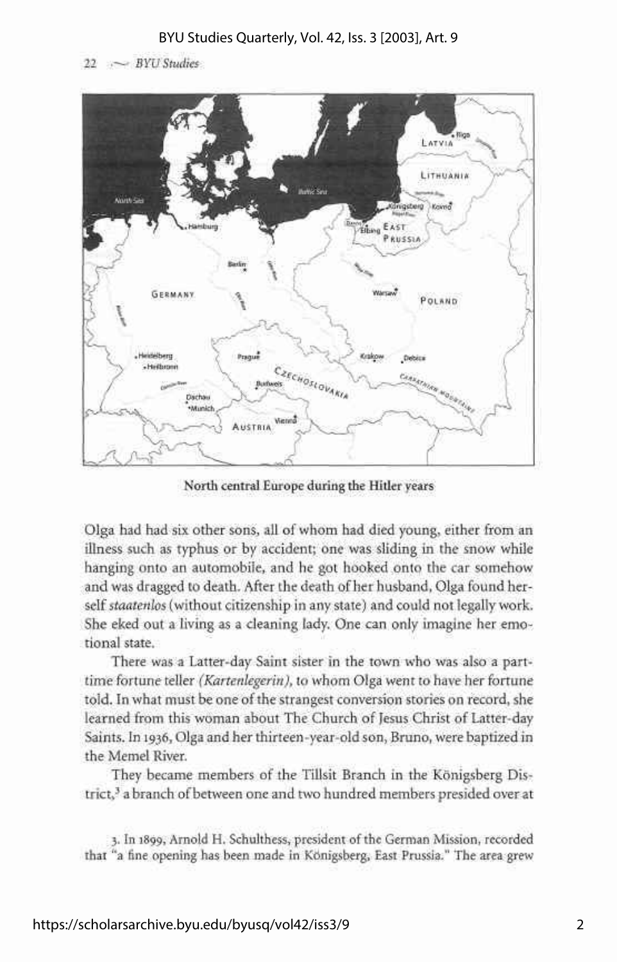#### BYU Studies Quarterly, Vol. 42, Iss. 3 [2003], Art. 9

22 .— *BYU Studies* 



North central Europe during the Hitler years

Olga had had six other sons, all of whom had died young, either from an illness such as typhus or by accident; one was sliding in the snow while hanging onto an automobile, and he got hooked onto the car somehow and was dragged to death. After the death of her husband, Olga found herself *staatenlos* (without citizenship in any state) and could not legally work. She eked out a living as a cleaning lady. One can only imagine her emotional state.

There was a Latter-day Saint sister in the town who was also a parttime fortune teller *(Kartenlegerin),* to whom Olga went to have her fortune told. In what must be one of the strangest conversion stories on record, she learned from this woman about The Church of Jesus Christ of Latter-day Saints. In 1936, Olga and her thirteen-year-old son, Bruno, were baptized in the Memel River.

They became members of the Tillsit Branch in the Konigsberg District,<sup>3</sup> a branch of between one and two hundred members presided over at

3. In 1899, Arnold H. Schulthess, president of the German Mission, recorded that "a fine opening has been made in Konigsberg, East Prussia." The area grew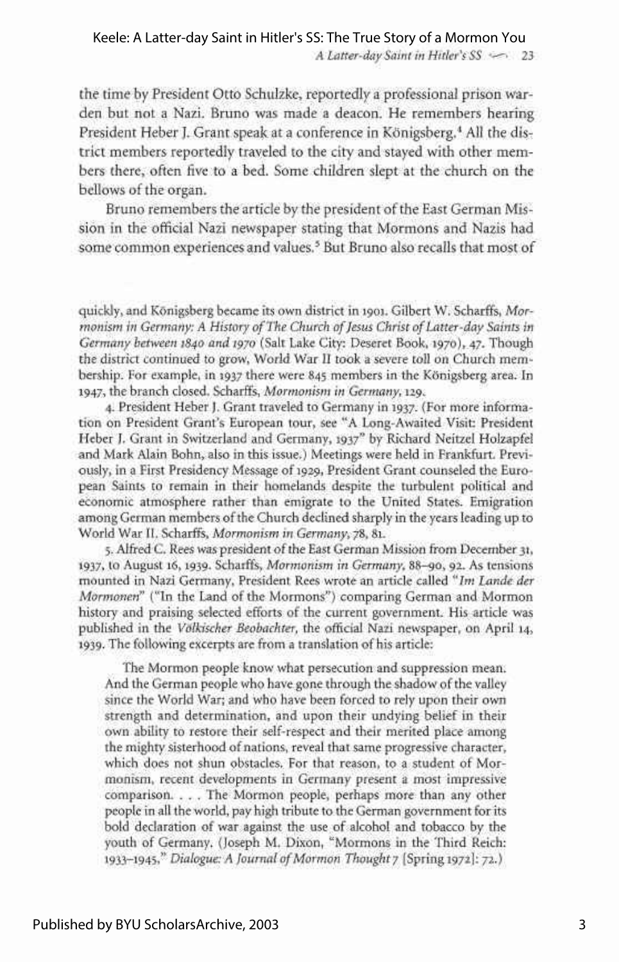### Keele: A Latter-day Saint in Hitler's SS: The True Story of a Mormon You

*A Latter-day Saint in Hitler's SS* •—• 23

the time by President Otto Schulzke, reportedly a professional prison warden but not a Nazi. Bruno was made a deacon. He remembers hearing President Heber J. Grant speak at a conference in Königsberg.<sup>4</sup> All the district members reportedly traveled to the city and stayed with other members there, often five to a bed. Some children slept at the church on the bellows of the organ.

Bruno remembers the article by the president of the East German Mission in the official Nazi newspaper stating that Mormons and Nazis had some common experiences and values.<sup>5</sup> But Bruno also recalls that most of

quickly, and Konigsberg became its own district in 1901. Gilbert W. Scharffs, *Mormonism in Germany: A History of The Church of Jesus Christ of Latter-day Saints in Germany between 1840 and 1970* (Salt Lake City: Deseret Book, 1970), 47. Though the district continued to grow, World War II took a severe toll on Church membership. For example, in 1937 there were 845 members in the Konigsberg area. In 1947, the branch closed. Scharffs, *Mormonism in Germany,* 129.

4. President Heber}. Grant traveled to Germany in 1937. (For more information on President Grant's European tour, see "A Long-Awaited Visit: President Heber J. Grant in Switzerland and Germany, 1937" by Richard Neitzel Holzapfel and Mark Alain Bohn, also in this issue.) Meetings were held in Frankfurt. Previously, in a First Presidency Message of 1929, President Grant counseled the European Saints to remain in their homelands despite the turbulent political and economic atmosphere rather than emigrate to the United States. Emigration among German members of the Church declined sharply in the years leading up to World War II. Scharffs, *Mormonism in Germany,* 78, 81.

5. Alfred C. Rees was president of the East German Mission from December 31, i937> to August 16,1939. Scharffs, *Mormonism in Germany,* 88-90, 92. As tensions mounted in Nazi Germany, President Rees wrote an article called *"Im Lande der Mormonen"* ("In the Land of the Mormons") comparing German and Mormon history and praising selected efforts of the current government. His article was published in the *Volkischer Beobachter,* the official Nazi newspaper, on April 14, 1939. The following excerpts are from a translation of his article:

The Mormon people know what persecution and suppression mean. And the German people who have gone through the shadow of the valley since the World War; and who have been forced to rely upon their own strength and determination, and upon their undying belief in their own ability to restore their self-respect and their merited place among the mighty sisterhood of nations, reveal that same progressive character, which does not shun obstacles. For that reason, to a student of Mormonism, recent developments in Germany present a most impressive comparison. . . . The Mormon people, perhaps more than any other people in all the world, pay high tribute to the German government for its bold declaration of war against the use of alcohol and tobacco by the youth of Germany. (Joseph M. Dixon, "Mormons in the Third Reich: 1933-1945," *Dialogue: A Journal of Mormon Thought* 7 [Spring 1972]: 72.)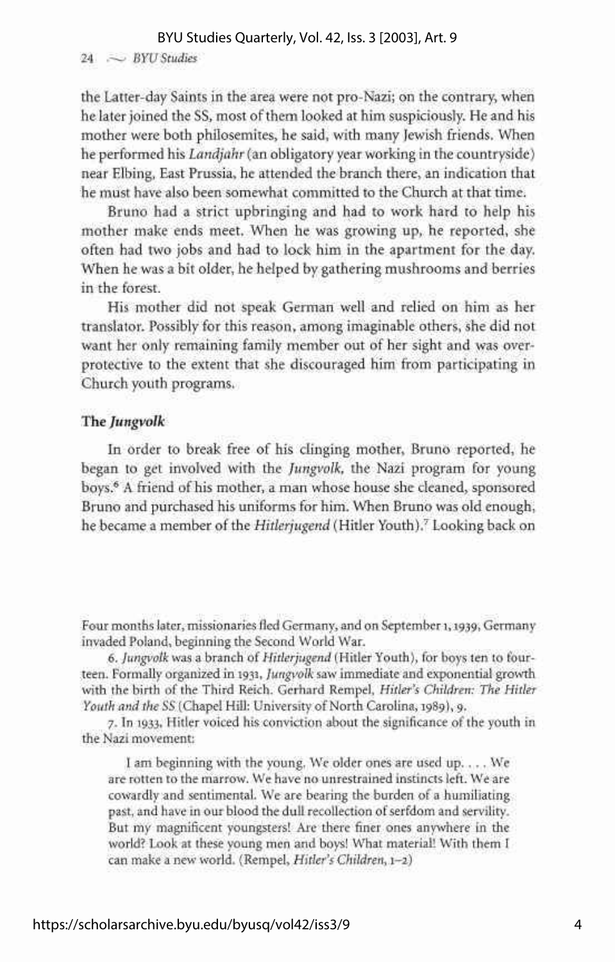#### BYU Studies Quarterly, Vol. 42, Iss. 3 [2003], Art. 9

#### 24 .- BYU Studies

the Latter-day Saints in the area were not pro-Nazi; on the contrary, when he later joined the SS, most of them looked at him suspiciously. He and his mother were both philosemites, he said, with many Jewish friends. When he performed his *Landjahr* (an obligatory year working in the countryside) near Elbing, East Prussia, he attended the branch there, an indication that he must have also been somewhat committed to the Church at that time.

Bruno had a strict upbringing and had to work hard to help his mother make ends meet. When he was growing up, he reported, she often had two jobs and had to lock him in the apartment for the day. When he was a bit older, he helped by gathering mushrooms and berries in the forest.

His mother did not speak German well and relied on him as her translator. Possibly for this reason, among imaginable others, she did not want her only remaining family member out of her sight and was overprotective to the extent that she discouraged him from participating in Church youth programs.

#### The *Jungvolk*

In order to break free of his clinging mother, Bruno reported, he began to get involved with the *Jungvolk,* the Nazi program for young boys.<sup>6</sup> A friend of his mother, a man whose house she cleaned, sponsored Bruno and purchased his uniforms for him. When Bruno was old enough, he became a member of the *Hitlerjugend* (Hitler Youth).<sup>7</sup> Looking back on

Four months later, missionaries fled Germany, and on September 1,1939, Germany invaded Poland, beginning the Second World War.

6. *Jungvolk* was a branch of *Hitlerjugend* (Hitler Youth), for boys ten to fourteen. Formally organized in 1931, *Jungvolk* saw immediate and exponential growth with the birth of the Third Reich. Gerhard Rempel, *Hitler's Children: The Hitler Youth and the SS* (Chapel Hill: University of North Carolina, 1989), 9.

7. In 1933, Hitler voiced his conviction about the significance of the youth in the Nazi movement:

I am beginning with the young. We older ones are used up. . . . We are rotten to the marrow. We have no unrestrained instincts left. We are cowardly and sentimental. We are bearing the burden of a humiliating past, and have in our blood the dull recollection of serfdom and servility. But my magnificent youngsters! Are there finer ones anywhere in the world? Look at these young men and boys! What material! With them I can make a new world. (Rempel, *Hitler's Children,* 1-2)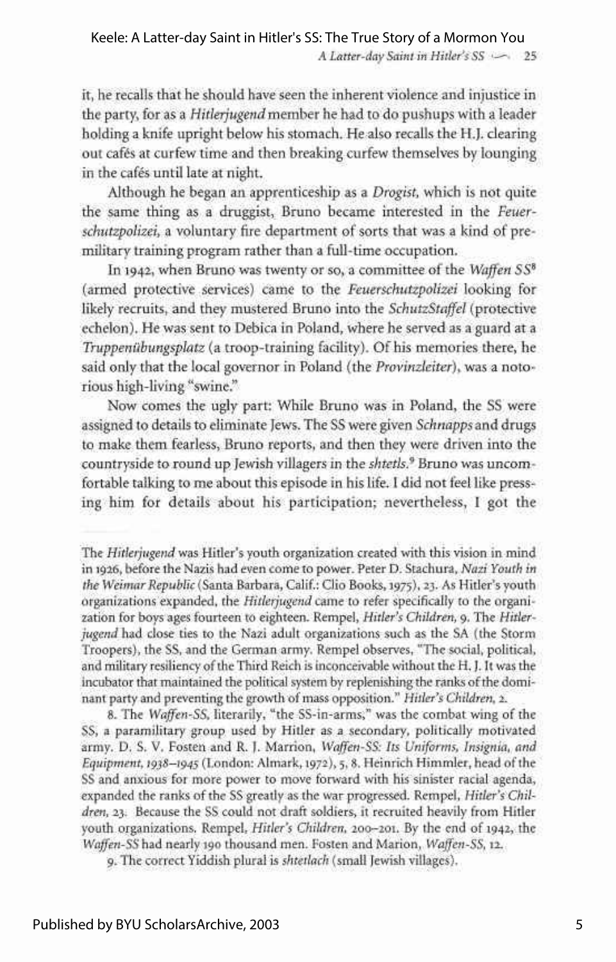*A Latter-day Saint in Hitler's SS* •-—• 25

it, he recalls that he should have seen the inherent violence and injustice in the party, for as a *Hitlerjugend* member he had to do pushups with a leader holding a knife upright below his stomach. He also recalls the H.J. clearing out cafes at curfew time and then breaking curfew themselves by lounging in the cafes until late at night.

Although he began an apprenticeship as a *Drogist,* which is not quite the same thing as a druggist, Bruno became interested in the *Feuerschutzpolizei,* a voluntary fire department of sorts that was a kind of premilitary training program rather than a full-time occupation.

In 1942, when Bruno was twenty or so, a committee of the *Waffen SS<sup>8</sup>* (armed protective services) came to the *Feuerschutzpolizei* looking for likely recruits, and they mustered Bruno into the *SchutzStaffel* (protective echelon). He was sent to Debica in Poland, where he served as a guard at a *Truppenubungsplatz* (a troop-training facility). Of his memories there, he said only that the local governor in Poland (the *Provinzleiter),* was a notorious high-living "swine."

Now comes the ugly part: While Bruno was in Poland, the SS were assigned to details to eliminate Jews. The SS were given *Schnapps* and drugs to make them fearless, Bruno reports, and then they were driven into the countryside to round up Jewish villagers in the *shtetls.<sup>9</sup>* Bruno was uncomfortable talking to me about this episode in his life. I did not feel like pressing him for details about his participation; nevertheless, I got the

8. The *Waffen-SS,* literarily, "the SS-in-arms," was the combat wing of the SS, a paramilitary group used by Hitler as a secondary, politically motivated army. D. S. V. Fosten and R. J. Marrion, *Waffen-SS: Its Uniforms, Insignia, and Equipment, 1938—1945* (London: Almark, 1972), 5,8. Heinrich Himmler, head of the SS and anxious for more power to move forward with his sinister racial agenda, expanded the ranks of the SS greatly as the war progressed. Rempel, *Hitler's Children,* 23. Because the SS could not draft soldiers, it recruited heavily from Hitler youth organizations. Rempel, *Hitler's Children,* 200-201. By the end of 1942, the *Waffen-SS* had nearly 190 thousand men. Fosten and Marion, *Waffen-SS,* 12.

9. The correct Yiddish plural is *shtetlach* (small Jewish villages).

The *Hitlerjugend* was Hitler's youth organization created with this vision in mind in 1926, before the Nazis had even come to power. Peter D. Stachura, *Nazi Youth in the Weimar Republic* (Santa Barbara, Calif.: Clio Books, 1975), 23. As Hitler's youth organizations expanded, the *Hitlerjugend* came to refer specifically to the organization for boys ages fourteen to eighteen. Rempel, *Hitler's Children,* 9. The *Hitlerjugend* had close ties to the Nazi adult organizations such as the SA (the Storm Troopers), the SS, and the German army. Rempel observes, "The social, political, and military resiliency of the Third Reich is inconceivable without the H. J. It was the incubator that maintained the political system by replenishing the ranks of the dominant party and preventing the growth of mass opposition." *Hitler's Children, 2.*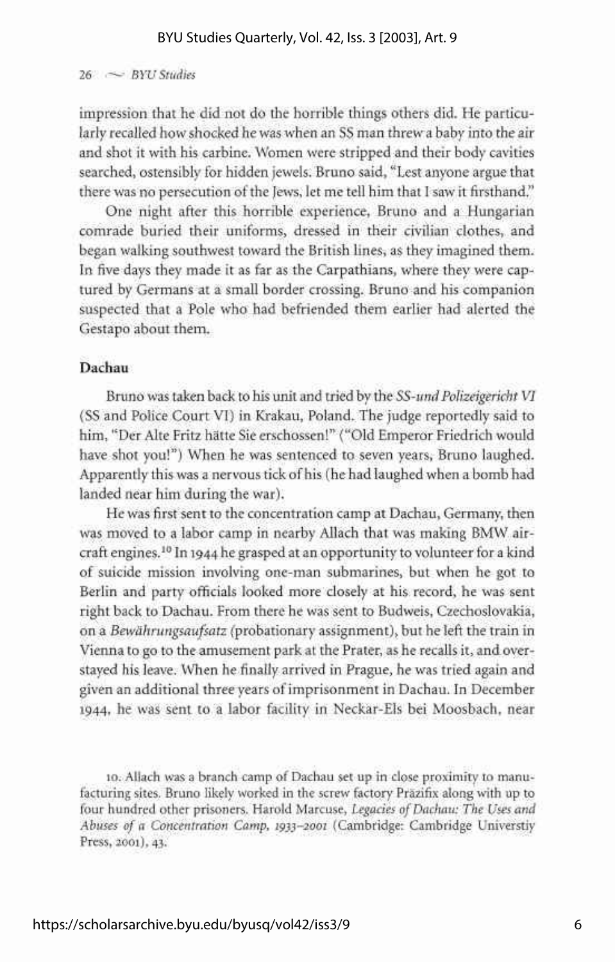#### $26 \sim$  *BYU Studies*

impression that he did not do the horrible things others did. He particularly recalled how shocked he was when an SS man threw a baby into the air and shot it with his carbine. Women were stripped and their body cavities searched, ostensibly for hidden jewels. Bruno said, "Lest anyone argue that there was no persecution of the Jews, let me tell him that I saw it firsthand."

One night after this horrible experience, Bruno and a Hungarian comrade buried their uniforms, dressed in their civilian clothes, and began walking southwest toward the British lines, as they imagined them. In five days they made it as far as the Carpathians, where they were captured by Germans at a small border crossing. Bruno and his companion suspected that a Pole who had befriended them earlier had alerted the Gestapo about them.

#### **Dachau**

Bruno was taken back to his unit and tried by the *SS-und Polizeigericht VI*  (SS and Police Court VI) in Krakau, Poland. The judge reportedly said to him, "Der Alte Fritz hatte Sie erschossen!" ("Old Emperor Friedrich would have shot you!") When he was sentenced to seven years, Bruno laughed. Apparently this was a nervous tick of his (he had laughed when a bomb had landed near him during the war).

He was first sent to the concentration camp at Dachau, Germany, then was moved to a labor camp in nearby Allach that was making BMW aircraft engines.<sup>10</sup> In 1944 he grasped at an opportunity to volunteer for a kind of suicide mission involving one-man submarines, but when he got to Berlin and party officials looked more closely at his record, he was sent right back to Dachau. From there he was sent to Budweis, Czechoslovakia, on a *Bewahrungsaufsatz* (^probationary assignment), but he left the train in Vienna to go to the amusement park at the Prater, as he recalls it, and overstayed his leave. When he finally arrived in Prague, he was tried again and given an additional three years of imprisonment in Dachau. In December 1944, he was sent to a labor facility in Neckar-Els bei Moosbach, near

10. Allach was a branch camp of Dachau set up in close proximity to manufacturing sites. Bruno likely worked in the screw factory Prazifix along with up to four hundred other prisoners. Harold Marcuse, *Legacies of Dachau: The Uses and Abuses of a Concentration Camp, 1933-2001* (Cambridge: Cambridge Universtiy Press, 2001), 43.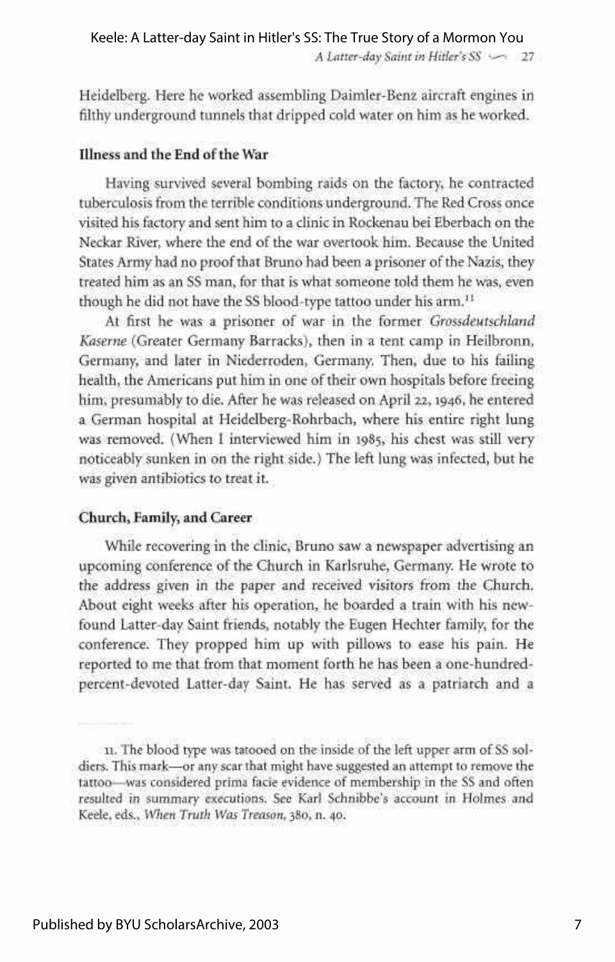Heidelberg. Here he worked assembling Daimler-Benz aircraft engines in filthy underground tunnels that dripped cold water on him as he worked.

#### **Illness and the End** of **the War**

Having survived several bombing raids on the factory, he contracted tuberculosis from the terrible conditions underground. The Red Cross once visited his factory and sent him to a clinic in Rockenau bei Eberbach on the Neckar River, where the end of the war overtook him. Because the United States Army had no proof that Bruno had been a prisoner of the Nazis, they treated him as an SS man, for that is what someone told them he was, even though he did not have the SS blood-type tattoo under his arm.<sup>11</sup>

At first he was a prisoner of war in the former *Grossdeutschland Kaserne* (Greater Germany Barracks), then in a tent camp in Heilbronn, Germany, and later in Niederroden, Germany. Then, due to his failing health, the Americans put him in one of their own hospitals before freeing him, presumably to die. After he was released on April 22,1946, he entered a German hospital at Heidelberg-Rohrbach, where his entire right lung was removed. (When I interviewed him in 1985, his chest was still very noticeably sunken in on the right side.) The left lung was infected, but he was given antibiotics to treat it.

#### **Church, Family, and Career**

While recovering in the clinic, Bruno saw a newspaper advertising an upcoming conference of the Church in Karlsruhe, Germany. He wrote to the address given in the paper and received visitors from the Church. About eight weeks after his operation, he boarded a train with his newfound Latter-day Saint friends, notably the Eugen Hechter family, for the conference. They propped him up with pillows to ease his pain. He reported to me that from that moment forth he has been a one-hundredpercent-devoted Latter-day Saint. He has served as a patriarch and a

<sup>11.</sup> The blood type was tatooed on the inside of the left upper arm of SS soldiers. This mark—or any scar that might have suggested an attempt to remove the tattoo—was considered prima facie evidence of membership in the SS and often resulted in summary executions. See Karl Schnibbe's account in Holmes and Keele, eds., *When Truth Was Treason,* 380, n. 40.